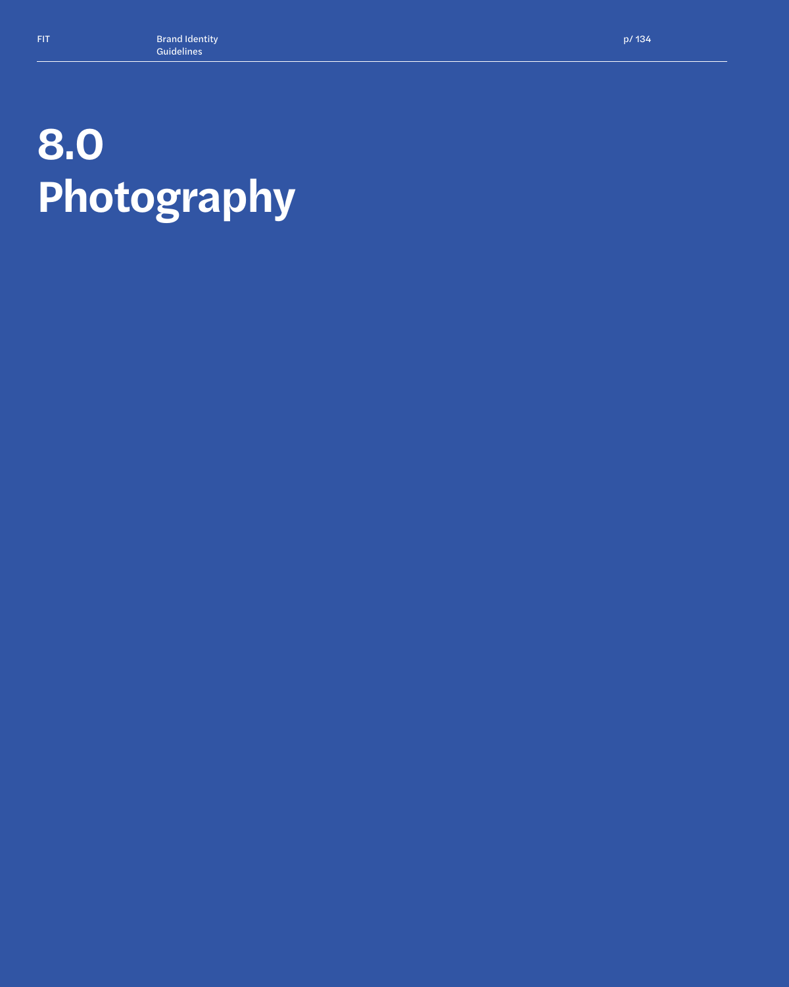# **8.0 Photography**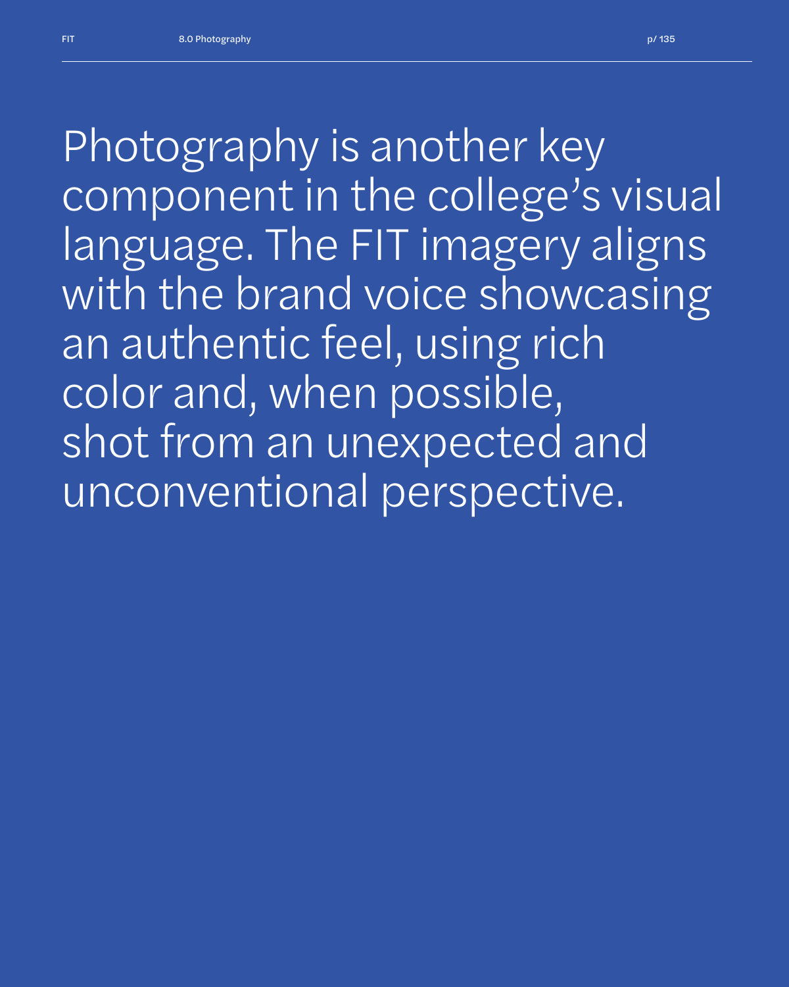*Photography is another key component in the college's visual language. The FIT imagery aligns with the brand voice showcasing an authentic feel, using rich color and, when possible, shot from an unexpected and unconventional perspective.*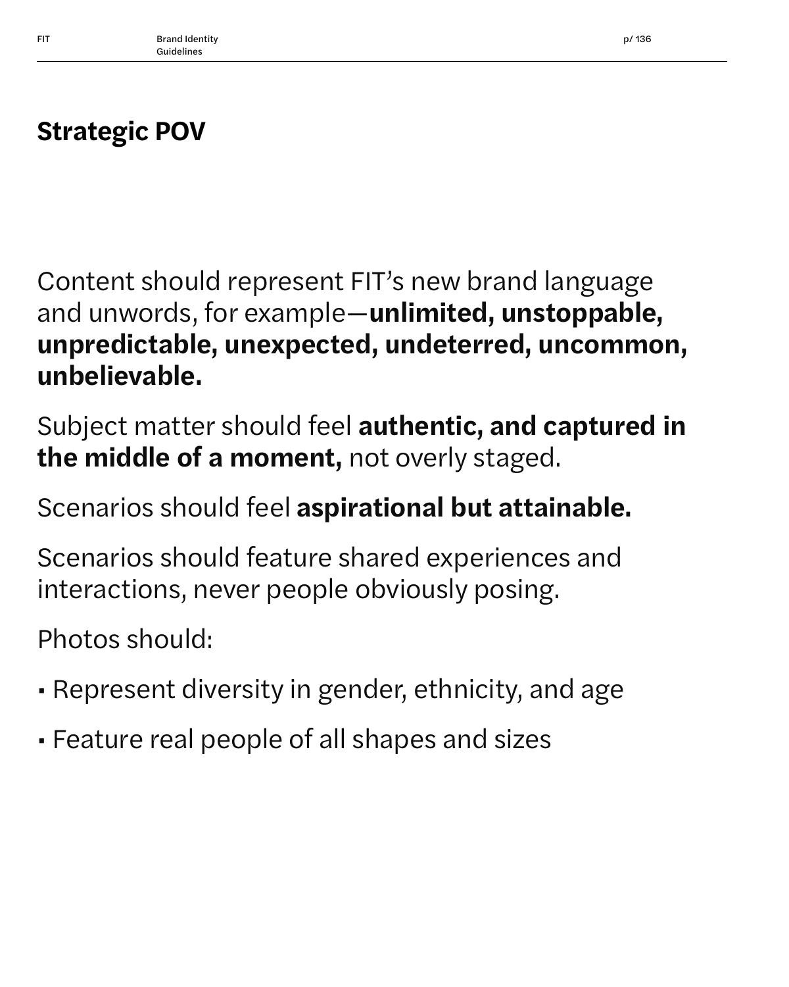## **Strategic POV**

Content should represent FIT's new brand language and unwords, for example—**unlimited, unstoppable, unpredictable, unexpected, undeterred, uncommon, unbelievable.**

Subject matter should feel **authentic, and captured in the middle of a moment,** not overly staged.

Scenarios should feel **aspirational but attainable.**

Scenarios should feature shared experiences and interactions, never people obviously posing.

Photos should:

- Represent diversity in gender, ethnicity, and age
- Feature real people of all shapes and sizes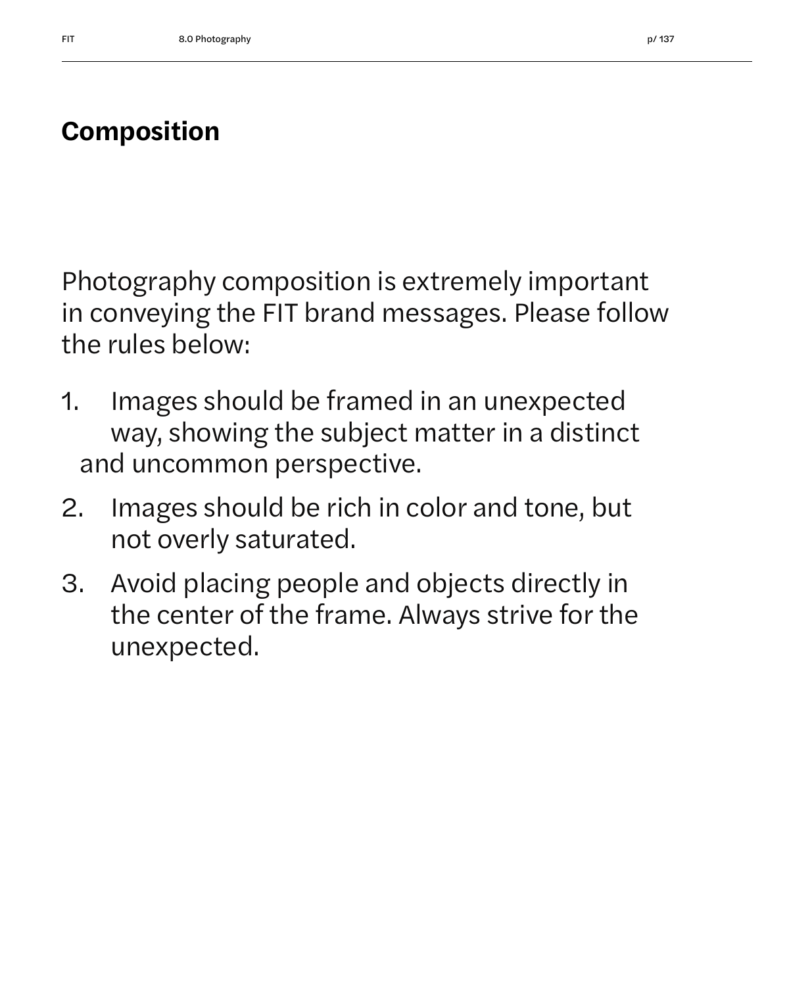### **Composition**

Photography composition is extremely important in conveying the FIT brand messages. Please follow the rules below:

- 1. Images should be framed in an unexpected way, showing the subject matter in a distinct and uncommon perspective.
- 2. Images should be rich in color and tone, but not overly saturated.
- 3. Avoid placing people and objects directly in the center of the frame. Always strive for the unexpected.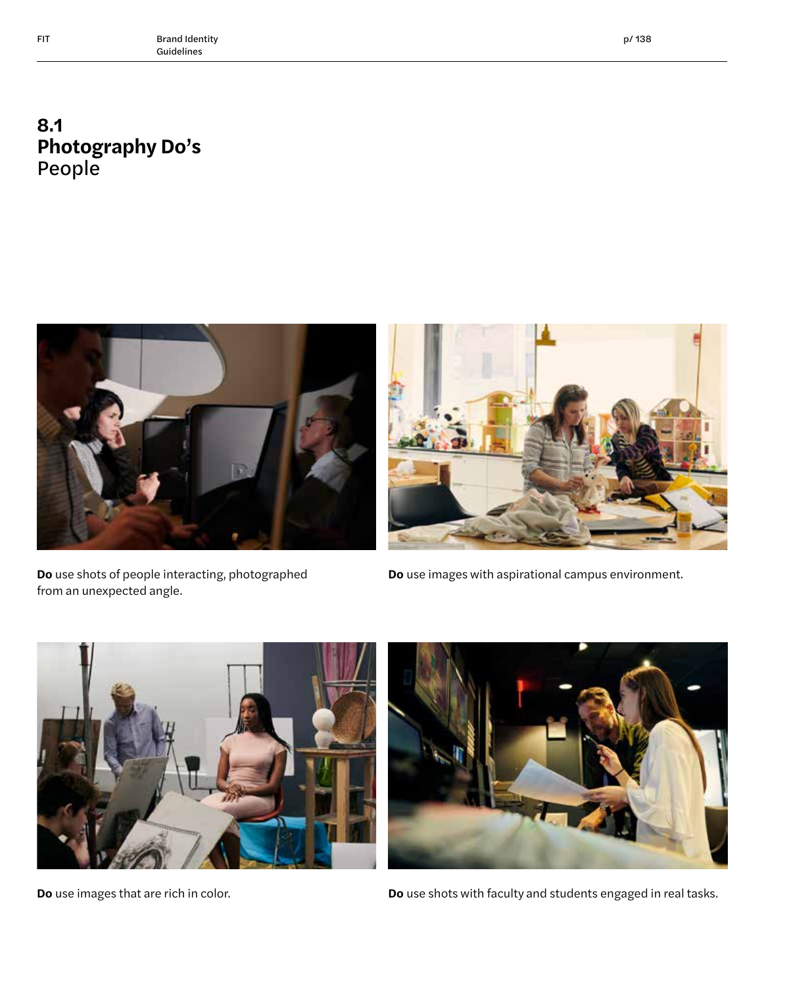#### **8.1 Photography Do's** People



**Do** use shots of people interacting, photographed from an unexpected angle.

**Do** use images with aspirational campus environment.





**Do** use images that are rich in color. **Do** use shots with faculty and students engaged in real tasks.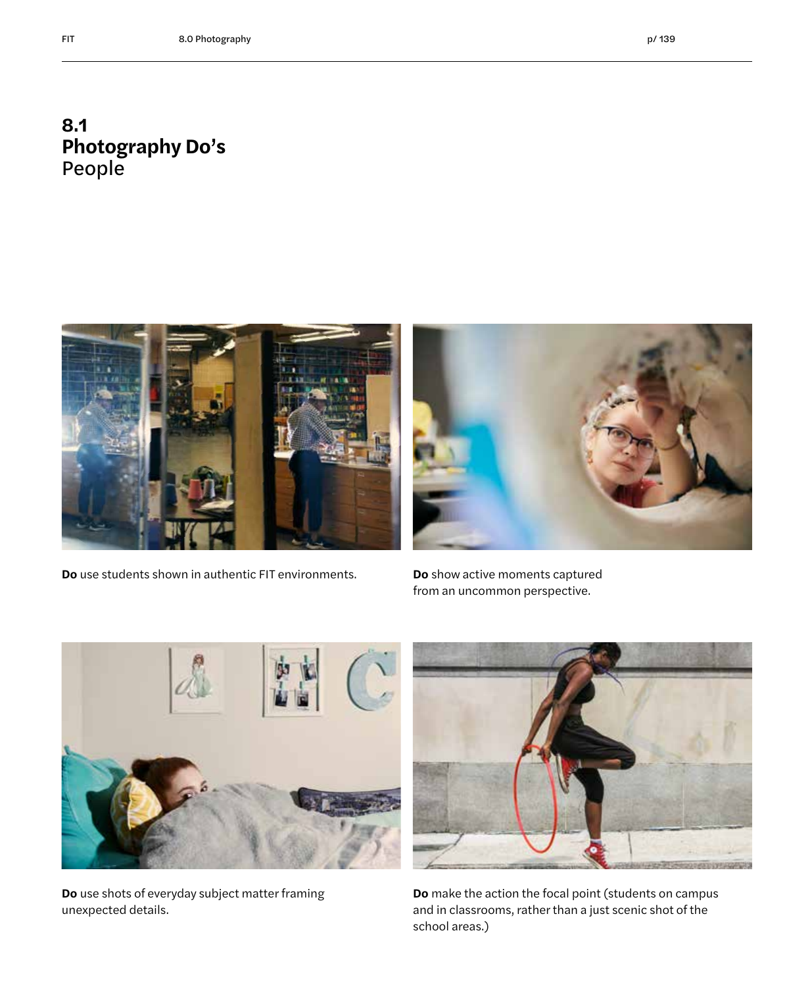#### **8.1 Photography Do's** People



**Do** use students shown in authentic FIT environments. **Do** show active moments captured

from an uncommon perspective.



**Do** use shots of everyday subject matter framing unexpected details.



**Do** make the action the focal point (students on campus and in classrooms, rather than a just scenic shot of the school areas.)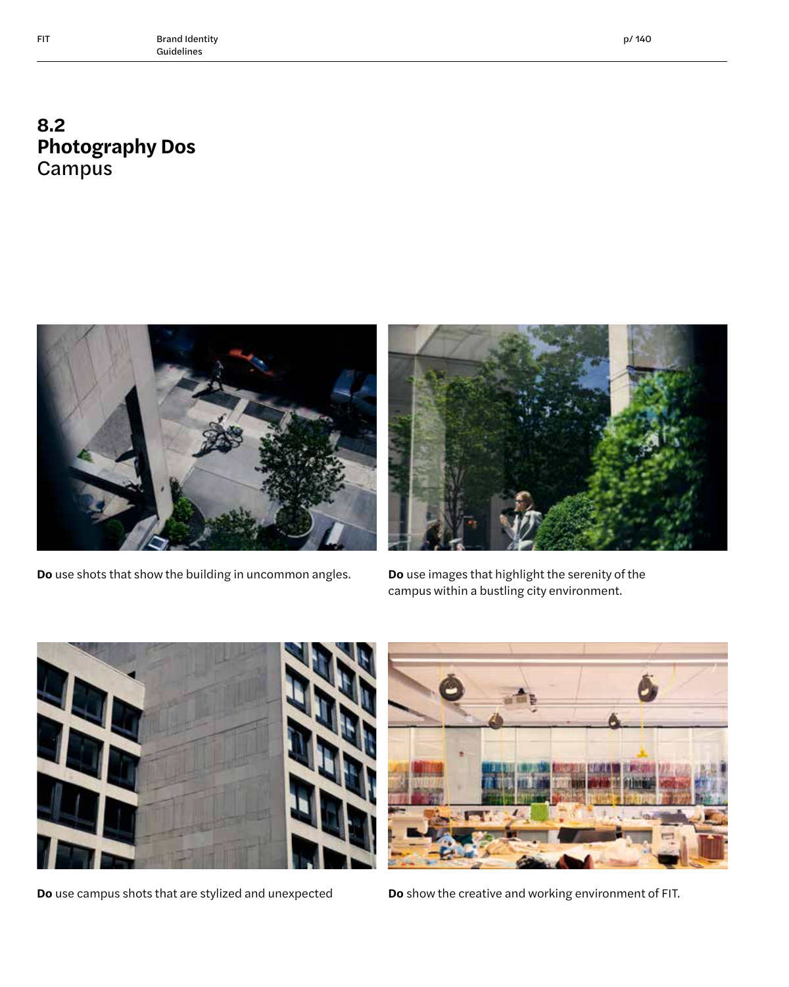#### **8.2 Photography Dos Campus**



**Do** use shots that show the building in uncommon angles. **Do** use images that highlight the serenity of the



campus within a bustling city environment.





**Do** use campus shots that are stylized and unexpected **Do** show the creative and working environment of FIT.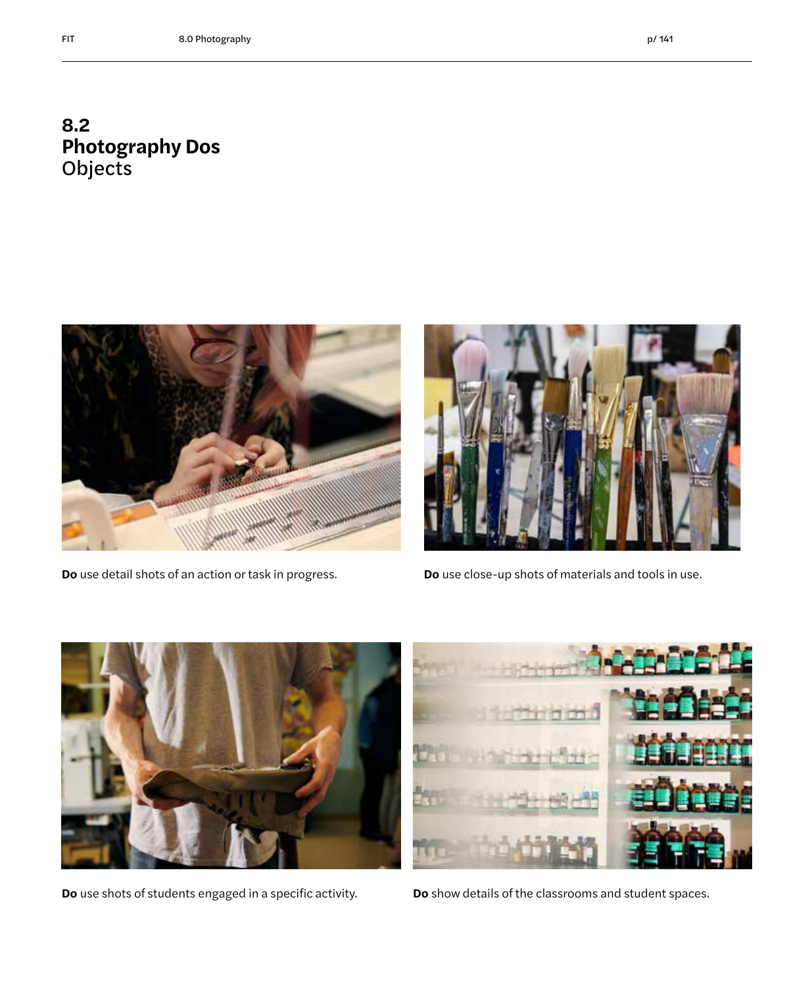#### **8.2 Photography Dos** Objects





**Do** use detail shots of an action or task in progress. **Do** use close-up shots of materials and tools in use.



**Do** use shots of students engaged in a specific activity. **Do** show details of the classrooms and student spaces.

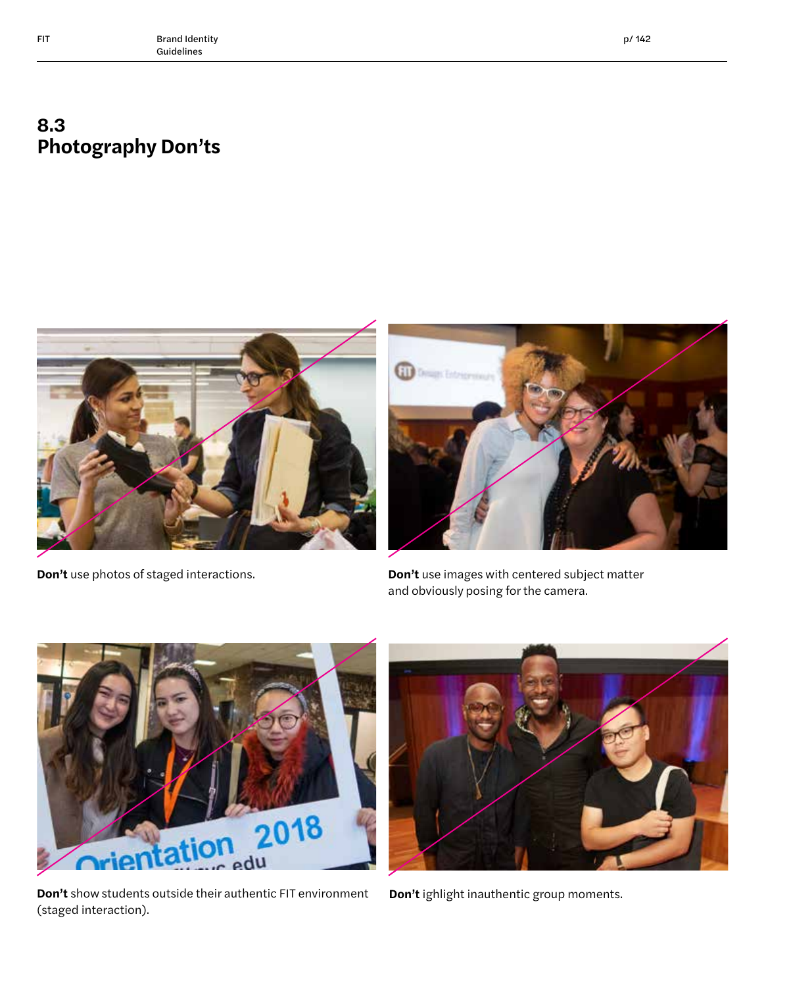#### **8.3 Photography Don'ts**





**Don't** use photos of staged interactions. **Don't use images with centered subject matter** and obviously posing for the camera.



**Don't** show students outside their authentic FIT environment **Don't** ighlight inauthentic group moments. (staged interaction).